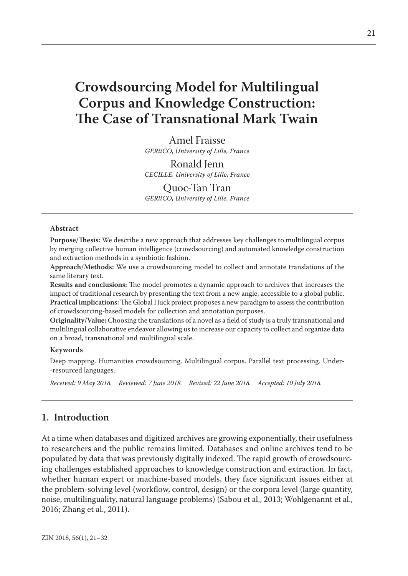# **Crowdsourcing Model for Multilingual Corpus and Knowledge Construction: The Case of Transnational Mark Twain**

Amel Fraisse *GERiiCO, University of Lille, France*

Ronald Jenn *CECILLE, University of Lille, France*

Quoc-Tan Tran *GERiiCO, University of Lille, France*

#### **Abstract**

**Purpose/Thesis:** We describe a new approach that addresses key challenges to multilingual corpus by merging collective human intelligence (crowdsourcing) and automated knowledge construction and extraction methods in a symbiotic fashion.

**Approach/Methods:** We use a crowdsourcing model to collect and annotate translations of the same literary text.

**Results and conclusions:** The model promotes a dynamic approach to archives that increases the impact of traditional research by presenting the text from a new angle, accessible to a global public. **Practical implications:** The Global Huck project proposes a new paradigm to assess the contribution of crowdsourcing-based models for collection and annotation purposes.

**Originality/Value:** Choosing the translations of a novel as a field of study is a truly transnational and multilingual collaborative endeavor allowing us to increase our capacity to collect and organize data on a broad, transnational and multilingual scale.

#### **Keywords**

Deep mapping. Humanities crowdsourcing. Multilingual corpus. Parallel text processing. Under- -resourced languages.

*Received: 9 May 2018. Reviewed: 7 June 2018. Revised: 22 June 2018. Accepted: 10 July 2018.*

## **1. Introduction**

At a time when databases and digitized archives are growing exponentially, their usefulness to researchers and the public remains limited. Databases and online archives tend to be populated by data that was previously digitally indexed. The rapid growth of crowdsourcing challenges established approaches to knowledge construction and extraction. In fact, whether human expert or machine-based models, they face significant issues either at the problem-solving level (workflow, control, design) or the corpora level (large quantity, noise, multilinguality, natural language problems) (Sabou et al., 2013; Wohlgenannt et al., 2016; Zhang et al., 2011).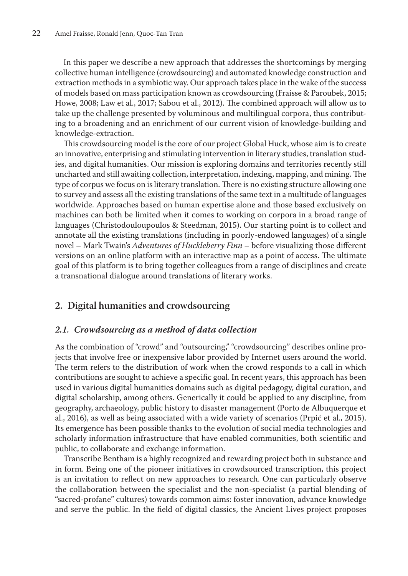In this paper we describe a new approach that addresses the shortcomings by merging collective human intelligence (crowdsourcing) and automated knowledge construction and extraction methods in a symbiotic way. Our approach takes place in the wake of the success of models based on mass participation known as crowdsourcing (Fraisse & Paroubek, 2015; Howe, 2008; Law et al., 2017; Sabou et al., 2012). The combined approach will allow us to take up the challenge presented by voluminous and multilingual corpora, thus contributing to a broadening and an enrichment of our current vision of knowledge-building and knowledge-extraction.

This crowdsourcing model is the core of our project Global Huck, whose aim is to create an innovative, enterprising and stimulating intervention in literary studies, translation studies, and digital humanities. Our mission is exploring domains and territories recently still uncharted and still awaiting collection, interpretation, indexing, mapping, and mining. The type of corpus we focus on is literary translation. There is no existing structure allowing one to survey and assess all the existing translations of the same text in a multitude of languages worldwide. Approaches based on human expertise alone and those based exclusively on machines can both be limited when it comes to working on corpora in a broad range of languages (Christodouloupoulos & Steedman, 2015). Our starting point is to collect and annotate all the existing translations (including in poorly-endowed languages) of a single novel – Mark Twain's *Adventures of Huckleberry Finn* – before visualizing those different versions on an online platform with an interactive map as a point of access. The ultimate goal of this platform is to bring together colleagues from a range of disciplines and create a transnational dialogue around translations of literary works.

## **2. Digital humanities and crowdsourcing**

#### *2.1. Crowdsourcing as a method of data collection*

As the combination of "crowd" and "outsourcing," "crowdsourcing" describes online projects that involve free or inexpensive labor provided by Internet users around the world. The term refers to the distribution of work when the crowd responds to a call in which contributions are sought to achieve a specific goal. In recent years, this approach has been used in various digital humanities domains such as digital pedagogy, digital curation, and digital scholarship, among others. Generically it could be applied to any discipline, from geography, archaeology, public history to disaster management (Porto de Albuquerque et al., 2016), as well as being associated with a wide variety of scenarios (Prpić et al., 2015). Its emergence has been possible thanks to the evolution of social media technologies and scholarly information infrastructure that have enabled communities, both scientific and public, to collaborate and exchange information.

Transcribe Bentham is a highly recognized and rewarding project both in substance and in form. Being one of the pioneer initiatives in crowdsourced transcription, this project is an invitation to reflect on new approaches to research. One can particularly observe the collaboration between the specialist and the non-specialist (a partial blending of "sacred-profane" cultures) towards common aims: foster innovation, advance knowledge and serve the public. In the field of digital classics, the Ancient Lives project proposes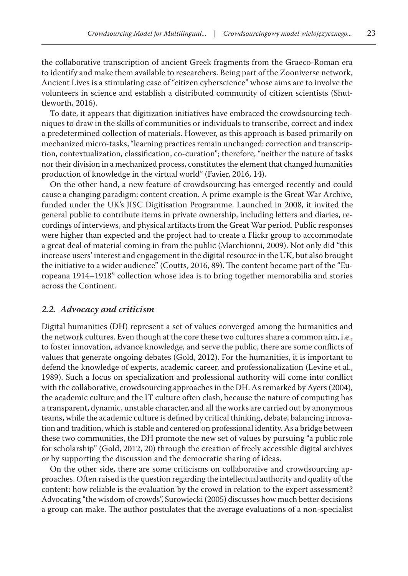the collaborative transcription of ancient Greek fragments from the Graeco-Roman era to identify and make them available to researchers. Being part of the Zooniverse network, Ancient Lives is a stimulating case of "citizen cyberscience" whose aims are to involve the volunteers in science and establish a distributed community of citizen scientists (Shuttleworth, 2016).

To date, it appears that digitization initiatives have embraced the crowdsourcing techniques to draw in the skills of communities or individuals to transcribe, correct and index a predetermined collection of materials. However, as this approach is based primarily on mechanized micro-tasks, "learning practices remain unchanged: correction and transcription, contextualization, classification, co-curation"; therefore, "neither the nature of tasks nor their division in a mechanized process, constitutes the element that changed humanities production of knowledge in the virtual world" (Favier, 2016, 14).

On the other hand, a new feature of crowdsourcing has emerged recently and could cause a changing paradigm: content creation. A prime example is the Great War Archive, funded under the UK's JISC Digitisation Programme. Launched in 2008, it invited the general public to contribute items in private ownership, including letters and diaries, recordings of interviews, and physical artifacts from the Great War period. Public responses were higher than expected and the project had to create a Flickr group to accommodate a great deal of material coming in from the public (Marchionni, 2009). Not only did "this increase users' interest and engagement in the digital resource in the UK, but also brought the initiative to a wider audience" (Coutts, 2016, 89). The content became part of the "Europeana 1914–1918" collection whose idea is to bring together memorabilia and stories across the Continent.

#### *2.2. Advocacy and criticism*

Digital humanities (DH) represent a set of values converged among the humanities and the network cultures. Even though at the core these two cultures share a common aim, i.e., to foster innovation, advance knowledge, and serve the public, there are some conflicts of values that generate ongoing debates (Gold, 2012). For the humanities, it is important to defend the knowledge of experts, academic career, and professionalization (Levine et al., 1989). Such a focus on specialization and professional authority will come into conflict with the collaborative, crowdsourcing approaches in the DH. As remarked by Ayers (2004), the academic culture and the IT culture often clash, because the nature of computing has a transparent, dynamic, unstable character, and all the works are carried out by anonymous teams, while the academic culture is defined by critical thinking, debate, balancing innovation and tradition, which is stable and centered on professional identity. As a bridge between these two communities, the DH promote the new set of values by pursuing "a public role for scholarship" (Gold, 2012, 20) through the creation of freely accessible digital archives or by supporting the discussion and the democratic sharing of ideas.

On the other side, there are some criticisms on collaborative and crowdsourcing approaches. Often raised is the question regarding the intellectual authority and quality of the content: how reliable is the evaluation by the crowd in relation to the expert assessment? Advocating "the wisdom of crowds", Surowiecki (2005) discusses how much better decisions a group can make. The author postulates that the average evaluations of a non-specialist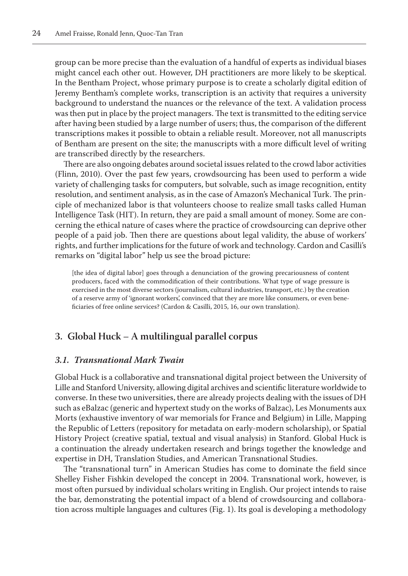group can be more precise than the evaluation of a handful of experts as individual biases might cancel each other out. However, DH practitioners are more likely to be skeptical. In the Bentham Project, whose primary purpose is to create a scholarly digital edition of Jeremy Bentham's complete works, transcription is an activity that requires a university background to understand the nuances or the relevance of the text. A validation process was then put in place by the project managers. The text is transmitted to the editing service after having been studied by a large number of users; thus, the comparison of the different transcriptions makes it possible to obtain a reliable result. Moreover, not all manuscripts of Bentham are present on the site; the manuscripts with a more difficult level of writing are transcribed directly by the researchers.

There are also ongoing debates around societal issues related to the crowd labor activities (Flinn, 2010). Over the past few years, crowdsourcing has been used to perform a wide variety of challenging tasks for computers, but solvable, such as image recognition, entity resolution, and sentiment analysis, as in the case of Amazon's Mechanical Turk. The principle of mechanized labor is that volunteers choose to realize small tasks called Human Intelligence Task (HIT). In return, they are paid a small amount of money. Some are concerning the ethical nature of cases where the practice of crowdsourcing can deprive other people of a paid job. Then there are questions about legal validity, the abuse of workers' rights, and further implications for the future of work and technology. Cardon and Casilli's remarks on "digital labor" help us see the broad picture:

[the idea of digital labor] goes through a denunciation of the growing precariousness of content producers, faced with the commodification of their contributions. What type of wage pressure is exercised in the most diverse sectors (journalism, cultural industries, transport, etc.) by the creation of a reserve army of 'ignorant workers', convinced that they are more like consumers, or even beneficiaries of free online services? (Cardon & Casilli, 2015, 16, our own translation).

## **3. Global Huck – A multilingual parallel corpus**

## *3.1. Transnational Mark Twain*

Global Huck is a collaborative and transnational digital project between the University of Lille and Stanford University, allowing digital archives and scientific literature worldwide to converse. In these two universities, there are already projects dealing with the issues of DH such as eBalzac (generic and hypertext study on the works of Balzac), Les Monuments aux Morts (exhaustive inventory of war memorials for France and Belgium) in Lille, Mapping the Republic of Letters (repository for metadata on early-modern scholarship), or Spatial History Project (creative spatial, textual and visual analysis) in Stanford. Global Huck is a continuation the already undertaken research and brings together the knowledge and expertise in DH, Translation Studies, and American Transnational Studies.

The "transnational turn" in American Studies has come to dominate the field since Shelley Fisher Fishkin developed the concept in 2004. Transnational work, however, is most often pursued by individual scholars writing in English. Our project intends to raise the bar, demonstrating the potential impact of a blend of crowdsourcing and collaboration across multiple languages and cultures (Fig. 1). Its goal is developing a methodology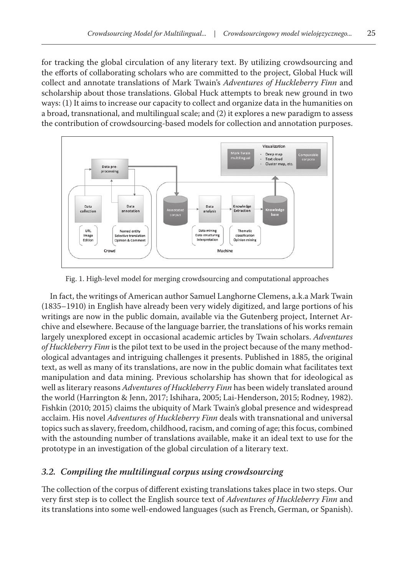for tracking the global circulation of any literary text. By utilizing crowdsourcing and the efforts of collaborating scholars who are committed to the project, Global Huck will collect and annotate translations of Mark Twain's *Adventures of Huckleberry Finn* and scholarship about those translations. Global Huck attempts to break new ground in two ways: (1) It aims to increase our capacity to collect and organize data in the humanities on a broad, transnational, and multilingual scale; and (2) it explores a new paradigm to assess the contribution of crowdsourcing-based models for collection and annotation purposes.



Fig. 1. High-level model for merging crowdsourcing and computational approaches

In fact, the writings of American author Samuel Langhorne Clemens, a.k.a Mark Twain (1835–1910) in English have already been very widely digitized, and large portions of his writings are now in the public domain, available via the Gutenberg project, Internet Archive and elsewhere. Because of the language barrier, the translations of his works remain largely unexplored except in occasional academic articles by Twain scholars. *Adventures of Huckleberry Finn* is the pilot text to be used in the project because of the many methodological advantages and intriguing challenges it presents. Published in 1885, the original text, as well as many of its translations, are now in the public domain what facilitates text manipulation and data mining. Previous scholarship has shown that for ideological as well as literary reasons *Adventures of Huckleberry Finn* has been widely translated around the world (Harrington & Jenn, 2017; Ishihara, 2005; Lai-Henderson, 2015; Rodney, 1982). Fishkin (2010; 2015) claims the ubiquity of Mark Twain's global presence and widespread acclaim. His novel *Adventures of Huckleberry Finn* deals with transnational and universal topics such as slavery, freedom, childhood, racism, and coming of age; this focus, combined with the astounding number of translations available, make it an ideal text to use for the prototype in an investigation of the global circulation of a literary text.

## *3.2. Compiling the multilingual corpus using crowdsourcing*

The collection of the corpus of different existing translations takes place in two steps. Our very first step is to collect the English source text of *Adventures of Huckleberry Finn* and its translations into some well-endowed languages (such as French, German, or Spanish).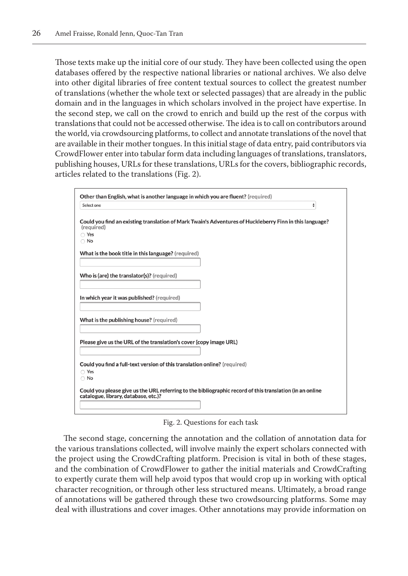Those texts make up the initial core of our study. They have been collected using the open databases offered by the respective national libraries or national archives. We also delve into other digital libraries of free content textual sources to collect the greatest number of translations (whether the whole text or selected passages) that are already in the public domain and in the languages in which scholars involved in the project have expertise. In the second step, we call on the crowd to enrich and build up the rest of the corpus with translations that could not be accessed otherwise. The idea is to call on contributors around the world, via crowdsourcing platforms, to collect and annotate translations of the novel that are available in their mother tongues. In this initial stage of data entry, paid contributors via CrowdFlower enter into tabular form data including languages of translations, translators, publishing houses, URLs for these translations, URLs for the covers, bibliographic records, articles related to the translations (Fig. 2).



Fig. 2. Questions for each task

The second stage, concerning the annotation and the collation of annotation data for the various translations collected, will involve mainly the expert scholars connected with the project using the CrowdCrafting platform. Precision is vital in both of these stages, and the combination of CrowdFlower to gather the initial materials and CrowdCrafting to expertly curate them will help avoid typos that would crop up in working with optical character recognition, or through other less structured means. Ultimately, a broad range of annotations will be gathered through these two crowdsourcing platforms. Some may deal with illustrations and cover images. Other annotations may provide information on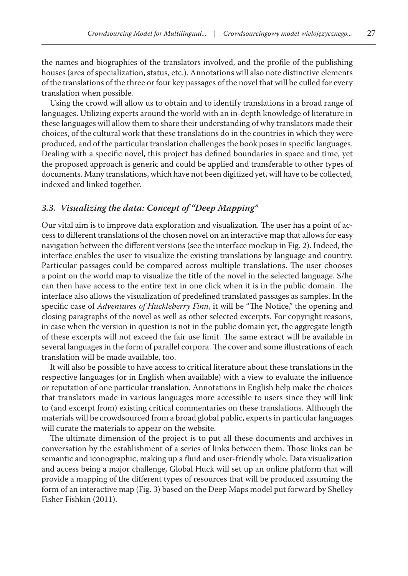the names and biographies of the translators involved, and the profile of the publishing houses (area of specialization, status, etc.). Annotations will also note distinctive elements of the translations of the three or four key passages of the novel that will be culled for every translation when possible.

Using the crowd will allow us to obtain and to identify translations in a broad range of languages. Utilizing experts around the world with an in-depth knowledge of literature in these languages will allow them to share their understanding of why translators made their choices, of the cultural work that these translations do in the countries in which they were produced, and of the particular translation challenges the book poses in specific languages. Dealing with a specific novel, this project has defined boundaries in space and time, yet the proposed approach is generic and could be applied and transferable to other types of documents. Many translations, which have not been digitized yet, will have to be collected, indexed and linked together.

#### *3.3. Visualizing the data: Concept of "Deep Mapping"*

Our vital aim is to improve data exploration and visualization. The user has a point of access to different translations of the chosen novel on an interactive map that allows for easy navigation between the different versions (see the interface mockup in Fig. 2). Indeed, the interface enables the user to visualize the existing translations by language and country. Particular passages could be compared across multiple translations. The user chooses a point on the world map to visualize the title of the novel in the selected language. S/he can then have access to the entire text in one click when it is in the public domain. The interface also allows the visualization of predefined translated passages as samples. In the specific case of *Adventures of Huckleberry Finn*, it will be "The Notice," the opening and closing paragraphs of the novel as well as other selected excerpts. For copyright reasons, in case when the version in question is not in the public domain yet, the aggregate length of these excerpts will not exceed the fair use limit. The same extract will be available in several languages in the form of parallel corpora. The cover and some illustrations of each translation will be made available, too.

It will also be possible to have access to critical literature about these translations in the respective languages (or in English when available) with a view to evaluate the influence or reputation of one particular translation. Annotations in English help make the choices that translators made in various languages more accessible to users since they will link to (and excerpt from) existing critical commentaries on these translations. Although the materials will be crowdsourced from a broad global public, experts in particular languages will curate the materials to appear on the website.

The ultimate dimension of the project is to put all these documents and archives in conversation by the establishment of a series of links between them. Those links can be semantic and iconographic, making up a fluid and user-friendly whole. Data visualization and access being a major challenge, Global Huck will set up an online platform that will provide a mapping of the different types of resources that will be produced assuming the form of an interactive map (Fig. 3) based on the Deep Maps model put forward by Shelley Fisher Fishkin (2011).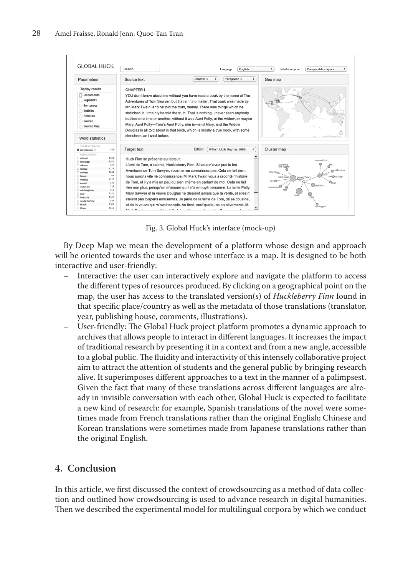

Fig. 3. Global Huck's interface (mock-up)

By Deep Map we mean the development of a platform whose design and approach will be oriented towards the user and whose interface is a map. It is designed to be both interactive and user-friendly:

- Interactive: the user can interactively explore and navigate the platform to access the different types of resources produced. By clicking on a geographical point on the map, the user has access to the translated version(s) of *Huckleberry Finn* found in that specific place/country as well as the metadata of those translations (translator, year, publishing house, comments, illustrations).
- User-friendly: The Global Huck project platform promotes a dynamic approach to archives that allows people to interact in different languages. It increases the impact of traditional research by presenting it in a context and from a new angle, accessible to a global public. The fluidity and interactivity of this intensely collaborative project aim to attract the attention of students and the general public by bringing research alive. It superimposes different approaches to a text in the manner of a palimpsest. Given the fact that many of these translations across different languages are already in invisible conversation with each other, Global Huck is expected to facilitate a new kind of research: for example, Spanish translations of the novel were sometimes made from French translations rather than the original English; Chinese and Korean translations were sometimes made from Japanese translations rather than the original English.

## **4. Conclusion**

In this article, we first discussed the context of crowdsourcing as a method of data collection and outlined how crowdsourcing is used to advance research in digital humanities. Then we described the experimental model for multilingual corpora by which we conduct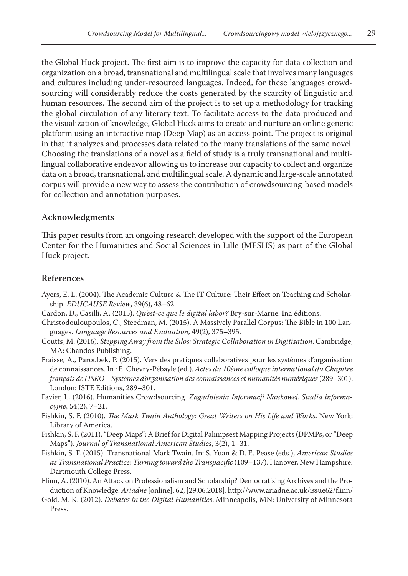the Global Huck project. The first aim is to improve the capacity for data collection and organization on a broad, transnational and multilingual scale that involves many languages and cultures including under-resourced languages. Indeed, for these languages crowdsourcing will considerably reduce the costs generated by the scarcity of linguistic and human resources. The second aim of the project is to set up a methodology for tracking the global circulation of any literary text. To facilitate access to the data produced and the visualization of knowledge, Global Huck aims to create and nurture an online generic platform using an interactive map (Deep Map) as an access point. The project is original in that it analyzes and processes data related to the many translations of the same novel. Choosing the translations of a novel as a field of study is a truly transnational and multilingual collaborative endeavor allowing us to increase our capacity to collect and organize data on a broad, transnational, and multilingual scale. A dynamic and large-scale annotated corpus will provide a new way to assess the contribution of crowdsourcing-based models for collection and annotation purposes.

#### **Acknowledgments**

This paper results from an ongoing research developed with the support of the European Center for the Humanities and Social Sciences in Lille (MESHS) as part of the Global Huck project.

#### **References**

- Ayers, E. L. (2004). The Academic Culture & The IT Culture: Their Effect on Teaching and Scholarship. *EDUCAUSE Review*, 39(6), 48–62.
- Cardon, D., Casilli, A. (2015). *Qu'est-ce que le digital labor?* Bry-sur-Marne: Ina éditions.
- Christodouloupoulos, C., Steedman, M. (2015). A Massively Parallel Corpus: The Bible in 100 Languages. *Language Resources and Evaluation*, 49(2), 375–395.
- Coutts, M. (2016). *Stepping Away from the Silos: Strategic Collaboration in Digitisation*. Cambridge, MA: Chandos Publishing.
- Fraisse, A., Paroubek, P. (2015). Vers des pratiques collaboratives pour les systèmes d'organisation de connaissances. In : E. Chevry-Pébayle (ed.). *Actes du 10ème colloque international du Chapitre français de l'ISKO – Systèmes d'organisation des connaissances et humanités numériques* (289–301). London: ISTE Editions, 289–301.
- Favier, L. (2016). Humanities Crowdsourcing. *Zagadnienia Informacji Naukowej. Studia informacyjne*, 54(2), 7–21.
- Fishkin, S. F. (2010). *The Mark Twain Anthology: Great Writers on His Life and Works*. New York: Library of America.
- Fishkin, S. F. (2011). "Deep Maps": A Brief for Digital Palimpsest Mapping Projects (DPMPs, or "Deep Maps"). *Journal of Transnational American Studies*, 3(2), 1–31.
- Fishkin, S. F. (2015). Transnational Mark Twain. In: S. Yuan & D. E. Pease (eds.), *American Studies as Transnational Practice: Turning toward the Transpacific* (109–137). Hanover, New Hampshire: Dartmouth College Press.
- Flinn, A. (2010). An Attack on Professionalism and Scholarship? Democratising Archives and the Production of Knowledge. *Ariadne* [online], 62, [29.06.2018], http://www.ariadne.ac.uk/issue62/flinn/
- Gold, M. K. (2012). *Debates in the Digital Humanities*. Minneapolis, MN: University of Minnesota Press.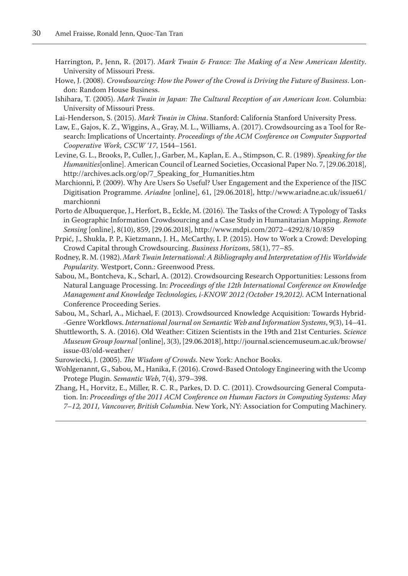- Harrington, P., Jenn, R. (2017). *Mark Twain & France: The Making of a New American Identity*. University of Missouri Press.
- Howe, J. (2008). *Crowdsourcing: How the Power of the Crowd is Driving the Future of Business*. London: Random House Business.
- Ishihara, T. (2005). *Mark Twain in Japan: The Cultural Reception of an American Icon*. Columbia: University of Missouri Press.
- Lai-Henderson, S. (2015). *Mark Twain in China*. Stanford: California Stanford University Press.
- Law, E., Gajos, K. Z., Wiggins, A., Gray, M. L., Williams, A. (2017). Crowdsourcing as a Tool for Research: Implications of Uncertainty. *Proceedings of the ACM Conference on Computer Supported Cooperative Work, CSCW '17*, 1544–1561.
- Levine, G. L., Brooks, P., Culler, J., Garber, M., Kaplan, E. A., Stimpson, C. R. (1989). *Speaking for the Humanities*[online]. American Council of Learned Societies, Occasional Paper No. 7, [29.06.2018], http://archives.acls.org/op/7\_Speaking\_for\_Humanities.htm
- Marchionni, P. (2009). Why Are Users So Useful? User Engagement and the Experience of the JISC Digitisation Programme. *Ariadne* [online], 61, [29.06.2018], http://www.ariadne.ac.uk/issue61/ marchionni
- Porto de Albuquerque, J., Herfort, B., Eckle, M. (2016). The Tasks of the Crowd: A Typology of Tasks in Geographic Information Crowdsourcing and a Case Study in Humanitarian Mapping. *Remote Sensing* [online], 8(10), 859, [29.06.2018], http://www.mdpi.com/2072–4292/8/10/859
- Prpić, J., Shukla, P. P., Kietzmann, J. H., McCarthy, I. P. (2015). How to Work a Crowd: Developing Crowd Capital through Crowdsourcing. *Business Horizons*, 58(1), 77–85.
- Rodney, R. M. (1982). *Mark Twain International: A Bibliography and Interpretation of His Worldwide Popularity*. Westport, Conn.: Greenwood Press.
- Sabou, M., Bontcheva, K., Scharl, A. (2012). Crowdsourcing Research Opportunities: Lessons from Natural Language Processing. In: *Proceedings of the 12th International Conference on Knowledge Management and Knowledge Technologies, i-KNOW 2012 (October 19,2012)*. ACM International Conference Proceeding Series.
- Sabou, M., Scharl, A., Michael, F. (2013). Crowdsourced Knowledge Acquisition: Towards Hybrid- -Genre Workflows. *International Journal on Semantic Web and Information Systems*, 9(3), 14–41.
- Shuttleworth, S. A. (2016). Old Weather: Citizen Scientists in the 19th and 21st Centuries. *Science Museum Group Journal* [online], 3(3), [29.06.2018], http://journal.sciencemuseum.ac.uk/browse/ issue-03/old-weather/
- Surowiecki, J. (2005). *The Wisdom of Crowds*. New York: Anchor Books.
- Wohlgenannt, G., Sabou, M., Hanika, F. (2016). Crowd-Based Ontology Engineering with the Ucomp Protege Plugin. *Semantic Web*, 7(4), 379–398.
- Zhang, H., Horvitz, E., Miller, R. C. R., Parkes, D. D. C. (2011). Crowdsourcing General Computation. In: *Proceedings of the 2011 ACM Conference on Human Factors in Computing Systems: May 7–12, 2011, Vancouver, British Columbia*. New York, NY: Association for Computing Machinery.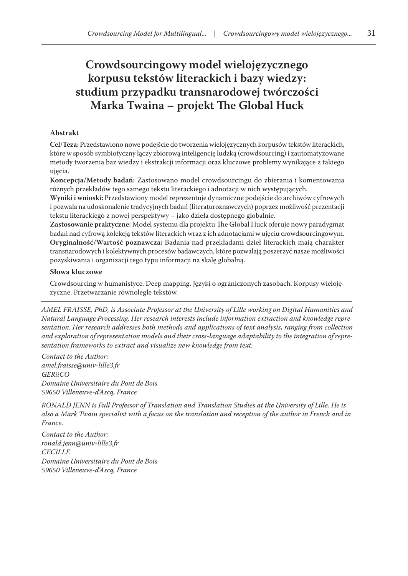## **Crowdsourcingowy model wielojęzycznego korpusu tekstów literackich i bazy wiedzy: studium przypadku transnarodowej twórczości Marka Twaina – projekt The Global Huck**

#### **Abstrakt**

**Cel/Teza:** Przedstawiono nowe podejście do tworzenia wielojęzycznych korpusów tekstów literackich, które w sposób symbiotyczny łączy zbiorową inteligencję ludzką (crowdsourcing) i zautomatyzowane metody tworzenia baz wiedzy i ekstrakcji informacji oraz kluczowe problemy wynikające z takiego ujęcia.

**Koncepcja/Metody badań:** Zastosowano model crowdsourcingu do zbierania i komentowania różnych przekładów tego samego tekstu literackiego i adnotacji w nich występujących.

**Wyniki i wnioski:** Przedstawiony model reprezentuje dynamiczne podejście do archiwów cyfrowych i pozwala na udoskonalenie tradycyjnych badań (literaturoznawczych) poprzez możliwość prezentacji tekstu literackiego z nowej perspektywy – jako dzieła dostępnego globalnie.

**Zastosowanie praktyczne:** Model systemu dla projektu The Global Huck oferuje nowy paradygmat badań nad cyfrową kolekcją tekstów literackich wraz z ich adnotacjami w ujęciu crowdsourcingowym. **Oryginalność/Wartość poznawcza:** Badania nad przekładami dzieł literackich mają charakter transnarodowych i kolektywnych procesów badawczych, które pozwalają poszerzyć nasze możliwości pozyskiwania i organizacji tego typu informacji na skalę globalną.

#### **Słowa kluczowe**

Crowdsourcing w humanistyce. Deep mapping. Języki o ograniczonych zasobach. Korpusy wielojęzyczne. Przetwarzanie równoległe tekstów.

*AMEL FRAISSE, PhD, is Associate Professor at the University of Lille working on Digital Humanities and Natural Language Processing. Her research interests include information extraction and knowledge representation. Her research addresses both methods and applications of text analysis, ranging from collection and exploration of representation models and their cross-language adaptability to the integration of representation frameworks to extract and visualize new knowledge from text.*

*Contact to the Author: amel.fraisse@univ-lille3.fr GERiiCO Domaine Universitaire du Pont de Bois 59650 Villeneuve-d'Ascq, France*

*RONALD JENN is Full Professor of Translation and Translation Studies at the University of Lille. He is also a Mark Twain specialist with a focus on the translation and reception of the author in French and in France.*

*Contact to the Author: ronald.jenn@univ-lille3.fr CECILLE Domaine Universitaire du Pont de Bois 59650 Villeneuve-d'Ascq, France*